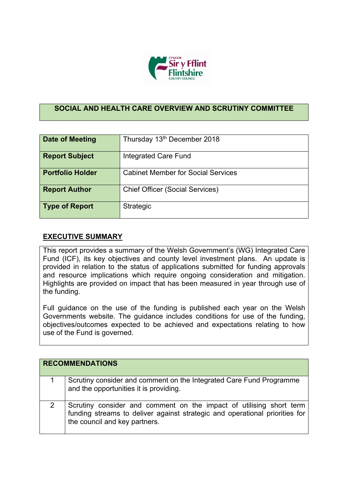

# **SOCIAL AND HEALTH CARE OVERVIEW AND SCRUTINY COMMITTEE**

| Date of Meeting         | Thursday 13th December 2018               |
|-------------------------|-------------------------------------------|
| <b>Report Subject</b>   | <b>Integrated Care Fund</b>               |
| <b>Portfolio Holder</b> | <b>Cabinet Member for Social Services</b> |
| <b>Report Author</b>    | <b>Chief Officer (Social Services)</b>    |
| <b>Type of Report</b>   | Strategic                                 |

#### **EXECUTIVE SUMMARY**

This report provides a summary of the Welsh Government's (WG) Integrated Care Fund (ICF), its key objectives and county level investment plans. An update is provided in relation to the status of applications submitted for funding approvals and resource implications which require ongoing consideration and mitigation. Highlights are provided on impact that has been measured in year through use of the funding.

Full guidance on the use of the funding is published each year on the Welsh Governments website. The guidance includes conditions for use of the funding, objectives/outcomes expected to be achieved and expectations relating to how use of the Fund is governed.

| <b>RECOMMENDATIONS</b>                                                                                                                                                              |
|-------------------------------------------------------------------------------------------------------------------------------------------------------------------------------------|
| Scrutiny consider and comment on the Integrated Care Fund Programme<br>and the opportunities it is providing.                                                                       |
| Scrutiny consider and comment on the impact of utilising short term<br>funding streams to deliver against strategic and operational priorities for<br>the council and key partners. |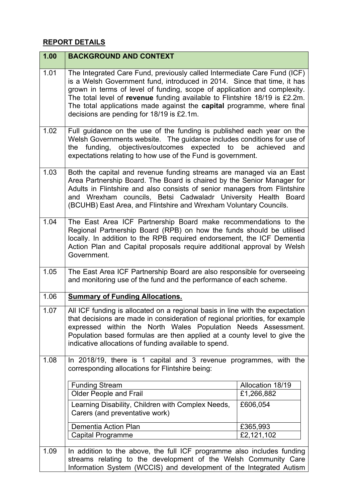# **REPORT DETAILS**

| 1.00 | <b>BACKGROUND AND CONTEXT</b>                                                                                                                                                                                                                                                                                                                                                                                                        |                    |
|------|--------------------------------------------------------------------------------------------------------------------------------------------------------------------------------------------------------------------------------------------------------------------------------------------------------------------------------------------------------------------------------------------------------------------------------------|--------------------|
| 1.01 | The Integrated Care Fund, previously called Intermediate Care Fund (ICF)<br>is a Welsh Government fund, introduced in 2014. Since that time, it has<br>grown in terms of level of funding, scope of application and complexity.<br>The total level of revenue funding available to Flintshire 18/19 is £2.2m.<br>The total applications made against the capital programme, where final<br>decisions are pending for 18/19 is £2.1m. |                    |
| 1.02 | Full guidance on the use of the funding is published each year on the<br>Welsh Governments website. The guidance includes conditions for use of<br>funding, objectives/outcomes expected<br>to<br>the<br>expectations relating to how use of the Fund is government.                                                                                                                                                                 | be achieved<br>and |
| 1.03 | Both the capital and revenue funding streams are managed via an East<br>Area Partnership Board. The Board is chaired by the Senior Manager for<br>Adults in Flintshire and also consists of senior managers from Flintshire<br>and Wrexham councils, Betsi Cadwaladr University Health Board<br>(BCUHB) East Area, and Flintshire and Wrexham Voluntary Councils.                                                                    |                    |
| 1.04 | The East Area ICF Partnership Board make recommendations to the<br>Regional Partnership Board (RPB) on how the funds should be utilised<br>locally. In addition to the RPB required endorsement, the ICF Dementia<br>Action Plan and Capital proposals require additional approval by Welsh<br>Government.                                                                                                                           |                    |
| 1.05 | The East Area ICF Partnership Board are also responsible for overseeing<br>and monitoring use of the fund and the performance of each scheme.                                                                                                                                                                                                                                                                                        |                    |
| 1.06 | <b>Summary of Funding Allocations.</b>                                                                                                                                                                                                                                                                                                                                                                                               |                    |
| 1.07 | All ICF funding is allocated on a regional basis in line with the expectation<br>that decisions are made in consideration of regional priorities, for example<br>expressed within the North Wales Population Needs Assessment.<br>Population based formulas are then applied at a county level to give the<br>indicative allocations of funding available to spend.                                                                  |                    |
| 1.08 | In 2018/19, there is 1 capital and 3 revenue programmes, with the<br>corresponding allocations for Flintshire being:                                                                                                                                                                                                                                                                                                                 |                    |
|      | <b>Funding Stream</b>                                                                                                                                                                                                                                                                                                                                                                                                                | Allocation 18/19   |
|      | <b>Older People and Frail</b>                                                                                                                                                                                                                                                                                                                                                                                                        | £1,266,882         |
|      | Learning Disability, Children with Complex Needs,<br>Carers (and preventative work)                                                                                                                                                                                                                                                                                                                                                  | £606,054           |
|      | Dementia Action Plan                                                                                                                                                                                                                                                                                                                                                                                                                 | £365,993           |
|      | <b>Capital Programme</b>                                                                                                                                                                                                                                                                                                                                                                                                             | £2,121,102         |
| 1.09 | In addition to the above, the full ICF programme also includes funding                                                                                                                                                                                                                                                                                                                                                               |                    |
|      | streams relating to the development of the Welsh Community Care<br>Information System (WCCIS) and development of the Integrated Autism                                                                                                                                                                                                                                                                                               |                    |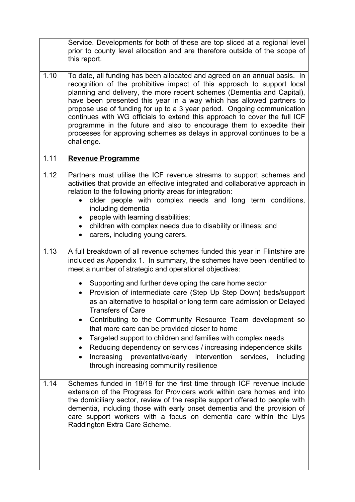|      | Service. Developments for both of these are top sliced at a regional level<br>prior to county level allocation and are therefore outside of the scope of<br>this report.                                                                                                                                                                                                                                                                                                                                                                                                                                                        |
|------|---------------------------------------------------------------------------------------------------------------------------------------------------------------------------------------------------------------------------------------------------------------------------------------------------------------------------------------------------------------------------------------------------------------------------------------------------------------------------------------------------------------------------------------------------------------------------------------------------------------------------------|
| 1.10 | To date, all funding has been allocated and agreed on an annual basis. In<br>recognition of the prohibitive impact of this approach to support local<br>planning and delivery, the more recent schemes (Dementia and Capital),<br>have been presented this year in a way which has allowed partners to<br>propose use of funding for up to a 3 year period. Ongoing communication<br>continues with WG officials to extend this approach to cover the full ICF<br>programme in the future and also to encourage them to expedite their<br>processes for approving schemes as delays in approval continues to be a<br>challenge. |
| 1.11 | <b>Revenue Programme</b>                                                                                                                                                                                                                                                                                                                                                                                                                                                                                                                                                                                                        |
| 1.12 | Partners must utilise the ICF revenue streams to support schemes and<br>activities that provide an effective integrated and collaborative approach in<br>relation to the following priority areas for integration:<br>older people with complex needs and long term conditions,<br>including dementia<br>people with learning disabilities;<br>$\bullet$<br>children with complex needs due to disability or illness; and<br>carers, including young carers.                                                                                                                                                                    |
| 1.13 | A full breakdown of all revenue schemes funded this year in Flintshire are<br>included as Appendix 1. In summary, the schemes have been identified to<br>meet a number of strategic and operational objectives:                                                                                                                                                                                                                                                                                                                                                                                                                 |
|      | Supporting and further developing the care home sector<br>Provision of intermediate care (Step Up Step Down) beds/support<br>as an alternative to hospital or long term care admission or Delayed<br><b>Transfers of Care</b><br>Contributing to the Community Resource Team development so<br>that more care can be provided closer to home<br>Targeted support to children and families with complex needs<br>$\bullet$<br>Reducing dependency on services / increasing independence skills<br>$\bullet$<br>Increasing preventative/early intervention services,<br>including<br>through increasing community resilience      |
| 1.14 | Schemes funded in 18/19 for the first time through ICF revenue include<br>extension of the Progress for Providers work within care homes and into<br>the domiciliary sector, review of the respite support offered to people with<br>dementia, including those with early onset dementia and the provision of<br>care support workers with a focus on dementia care within the Llys<br>Raddington Extra Care Scheme.                                                                                                                                                                                                            |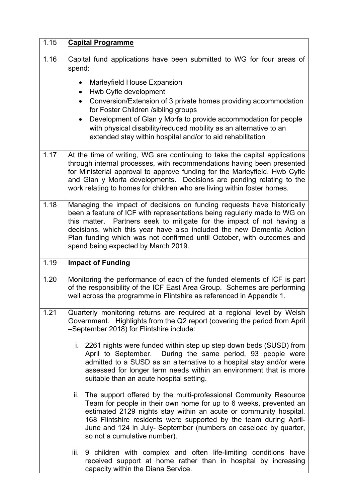| 1.15 | <b>Capital Programme</b>                                                                                                                                                                                                                                                                                                                                                                                             |
|------|----------------------------------------------------------------------------------------------------------------------------------------------------------------------------------------------------------------------------------------------------------------------------------------------------------------------------------------------------------------------------------------------------------------------|
| 1.16 | Capital fund applications have been submitted to WG for four areas of<br>spend:                                                                                                                                                                                                                                                                                                                                      |
|      | Marleyfield House Expansion                                                                                                                                                                                                                                                                                                                                                                                          |
|      | Hwb Cyfle development                                                                                                                                                                                                                                                                                                                                                                                                |
|      | Conversion/Extension of 3 private homes providing accommodation<br>$\bullet$                                                                                                                                                                                                                                                                                                                                         |
|      | for Foster Children /sibling groups<br>Development of Glan y Morfa to provide accommodation for people                                                                                                                                                                                                                                                                                                               |
|      | with physical disability/reduced mobility as an alternative to an<br>extended stay within hospital and/or to aid rehabilitation                                                                                                                                                                                                                                                                                      |
| 1.17 | At the time of writing, WG are continuing to take the capital applications<br>through internal processes, with recommendations having been presented<br>for Ministerial approval to approve funding for the Marleyfield, Hwb Cyfle<br>and Glan y Morfa developments. Decisions are pending relating to the<br>work relating to homes for children who are living within foster homes.                                |
| 1.18 | Managing the impact of decisions on funding requests have historically<br>been a feature of ICF with representations being regularly made to WG on<br>this matter. Partners seek to mitigate for the impact of not having a<br>decisions, which this year have also included the new Dementia Action<br>Plan funding which was not confirmed until October, with outcomes and<br>spend being expected by March 2019. |
|      |                                                                                                                                                                                                                                                                                                                                                                                                                      |
| 1.19 | <b>Impact of Funding</b>                                                                                                                                                                                                                                                                                                                                                                                             |
| 1.20 | Monitoring the performance of each of the funded elements of ICF is part<br>of the responsibility of the ICF East Area Group. Schemes are performing<br>well across the programme in Flintshire as referenced in Appendix 1.                                                                                                                                                                                         |
| 1.21 | Quarterly monitoring returns are required at a regional level by Welsh<br>Government. Highlights from the Q2 report (covering the period from April<br>-September 2018) for Flintshire include:                                                                                                                                                                                                                      |
|      | i. 2261 nights were funded within step up step down beds (SUSD) from<br>April to September. During the same period, 93 people were<br>admitted to a SUSD as an alternative to a hospital stay and/or were<br>assessed for longer term needs within an environment that is more<br>suitable than an acute hospital setting.                                                                                           |
|      | The support offered by the multi-professional Community Resource<br>ii.<br>Team for people in their own home for up to 6 weeks, prevented an<br>estimated 2129 nights stay within an acute or community hospital.<br>168 Flintshire residents were supported by the team during April-<br>June and 124 in July- September (numbers on caseload by quarter,<br>so not a cumulative number).                           |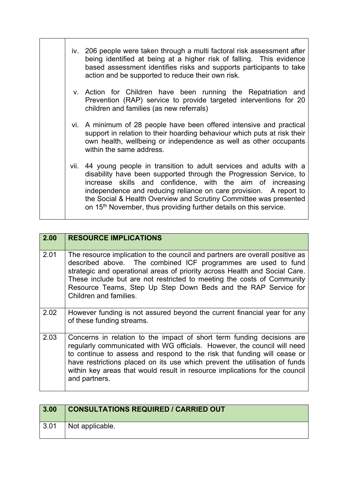|      | iv. 206 people were taken through a multi factoral risk assessment after<br>being identified at being at a higher risk of falling. This evidence<br>based assessment identifies risks and supports participants to take<br>action and be supported to reduce their own risk.                                                                                                                                                     |
|------|----------------------------------------------------------------------------------------------------------------------------------------------------------------------------------------------------------------------------------------------------------------------------------------------------------------------------------------------------------------------------------------------------------------------------------|
|      | v. Action for Children have been running the Repatriation and<br>Prevention (RAP) service to provide targeted interventions for 20<br>children and families (as new referrals)                                                                                                                                                                                                                                                   |
|      | vi. A minimum of 28 people have been offered intensive and practical<br>support in relation to their hoarding behaviour which puts at risk their<br>own health, wellbeing or independence as well as other occupants<br>within the same address.                                                                                                                                                                                 |
| vii. | 44 young people in transition to adult services and adults with a<br>disability have been supported through the Progression Service, to<br>increase skills and confidence, with the aim of increasing<br>independence and reducing reliance on care provision. A report to<br>the Social & Health Overview and Scrutiny Committee was presented<br>on 15 <sup>th</sup> November, thus providing further details on this service. |

| 2.00 | <b>RESOURCE IMPLICATIONS</b>                                                                                                                                                                                                                                                                                                                                                                                 |
|------|--------------------------------------------------------------------------------------------------------------------------------------------------------------------------------------------------------------------------------------------------------------------------------------------------------------------------------------------------------------------------------------------------------------|
| 2.01 | The resource implication to the council and partners are overall positive as<br>described above. The combined ICF programmes are used to fund<br>strategic and operational areas of priority across Health and Social Care.<br>These include but are not restricted to meeting the costs of Community<br>Resource Teams, Step Up Step Down Beds and the RAP Service for<br>Children and families.            |
| 2.02 | However funding is not assured beyond the current financial year for any<br>of these funding streams.                                                                                                                                                                                                                                                                                                        |
| 2.03 | Concerns in relation to the impact of short term funding decisions are<br>regularly communicated with WG officials. However, the council will need<br>to continue to assess and respond to the risk that funding will cease or<br>have restrictions placed on its use which prevent the utilisation of funds<br>within key areas that would result in resource implications for the council<br>and partners. |

| 3.00 | <b>CONSULTATIONS REQUIRED / CARRIED OUT</b> |
|------|---------------------------------------------|
| 3.01 | Not applicable.                             |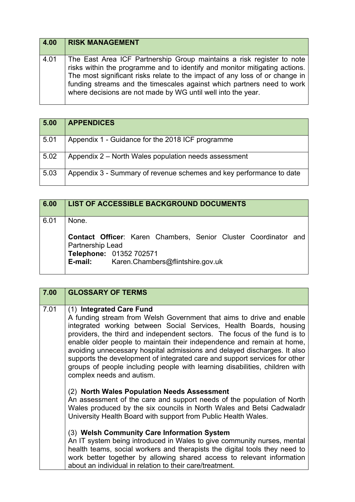| $\overline{4.00}$ | <b>RISK MANAGEMENT</b>                                                                                                                                                                                                                                                                                                                                                       |
|-------------------|------------------------------------------------------------------------------------------------------------------------------------------------------------------------------------------------------------------------------------------------------------------------------------------------------------------------------------------------------------------------------|
| 4.01              | The East Area ICF Partnership Group maintains a risk register to note<br>risks within the programme and to identify and monitor mitigating actions.<br>The most significant risks relate to the impact of any loss of or change in<br>funding streams and the timescales against which partners need to work<br>where decisions are not made by WG until well into the year. |

| 5.00 | <b>APPENDICES</b>                                                   |
|------|---------------------------------------------------------------------|
| 5.01 | Appendix 1 - Guidance for the 2018 ICF programme                    |
| 5.02 | Appendix 2 – North Wales population needs assessment                |
| 5.03 | Appendix 3 - Summary of revenue schemes and key performance to date |

| 6.00 | LIST OF ACCESSIBLE BACKGROUND DOCUMENTS                                             |
|------|-------------------------------------------------------------------------------------|
| 6.01 | None.                                                                               |
|      | Contact Officer: Karen Chambers, Senior Cluster Coordinator and<br>Partnership Lead |
|      | Telephone: 01352 702571                                                             |
|      | <b>E-mail:</b> Karen.Chambers@flintshire.gov.uk                                     |

| 7.00 | <b>GLOSSARY OF TERMS</b>                                                                                                                                                                                                                                                                                                                                                                                                                                                                                                                                                                            |
|------|-----------------------------------------------------------------------------------------------------------------------------------------------------------------------------------------------------------------------------------------------------------------------------------------------------------------------------------------------------------------------------------------------------------------------------------------------------------------------------------------------------------------------------------------------------------------------------------------------------|
| 7.01 | (1) Integrated Care Fund<br>A funding stream from Welsh Government that aims to drive and enable<br>integrated working between Social Services, Health Boards, housing<br>providers, the third and independent sectors. The focus of the fund is to<br>enable older people to maintain their independence and remain at home,<br>avoiding unnecessary hospital admissions and delayed discharges. It also<br>supports the development of integrated care and support services for other<br>groups of people including people with learning disabilities, children with<br>complex needs and autism. |
|      | (2) North Wales Population Needs Assessment<br>An assessment of the care and support needs of the population of North<br>Wales produced by the six councils in North Wales and Betsi Cadwaladr<br>University Health Board with support from Public Health Wales.                                                                                                                                                                                                                                                                                                                                    |
|      | (3) Welsh Community Care Information System<br>An IT system being introduced in Wales to give community nurses, mental<br>health teams, social workers and therapists the digital tools they need to<br>work better together by allowing shared access to relevant information<br>about an individual in relation to their care/treatment.                                                                                                                                                                                                                                                          |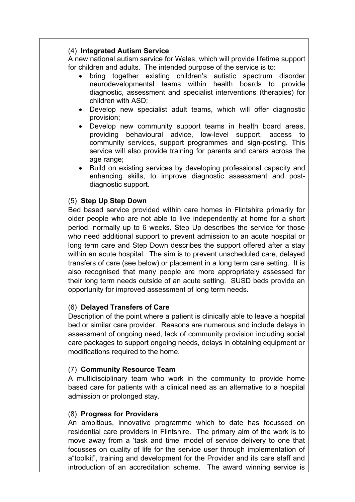# (4) **Integrated Autism Service**

A new national autism service for Wales, which will provide lifetime support for children and adults. The intended purpose of the service is to:

- bring together existing children's autistic spectrum disorder neurodevelopmental teams within health boards to provide diagnostic, assessment and specialist interventions (therapies) for children with ASD;
- Develop new specialist adult teams, which will offer diagnostic provision;
- Develop new community support teams in health board areas, providing behavioural advice, low-level support, access to community services, support programmes and sign-posting. This service will also provide training for parents and carers across the age range;
- Build on existing services by developing professional capacity and enhancing skills, to improve diagnostic assessment and postdiagnostic support.

## (5) **Step Up Step Down**

Bed based service provided within care homes in Flintshire primarily for older people who are not able to live independently at home for a short period, normally up to 6 weeks. Step Up describes the service for those who need additional support to prevent admission to an acute hospital or long term care and Step Down describes the support offered after a stay within an acute hospital. The aim is to prevent unscheduled care, delayed transfers of care (see below) or placement in a long term care setting. It is also recognised that many people are more appropriately assessed for their long term needs outside of an acute setting. SUSD beds provide an opportunity for improved assessment of long term needs.

## (6) **Delayed Transfers of Care**

Description of the point where a patient is clinically able to leave a hospital bed or similar care provider. Reasons are numerous and include delays in assessment of ongoing need, lack of community provision including social care packages to support ongoing needs, delays in obtaining equipment or modifications required to the home.

## (7) **Community Resource Team**

A multidisciplinary team who work in the community to provide home based care for patients with a clinical need as an alternative to a hospital admission or prolonged stay.

## (8) **Progress for Providers**

An ambitious, innovative programme which to date has focussed on residential care providers in Flintshire. The primary aim of the work is to move away from a 'task and time' model of service delivery to one that focusses on quality of life for the service user through implementation of a"toolkit", training and development for the Provider and its care staff and introduction of an accreditation scheme. The award winning service is